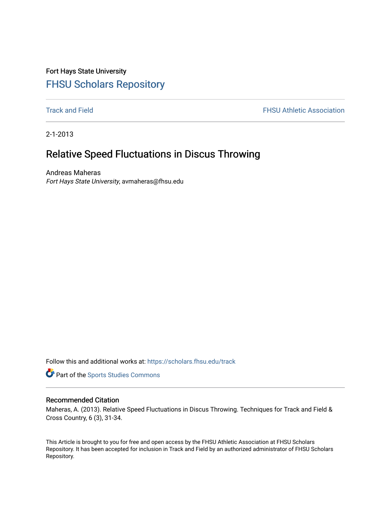## Fort Hays State University [FHSU Scholars Repository](https://scholars.fhsu.edu/)

**[Track and Field](https://scholars.fhsu.edu/track) FHSU Athletic Association** 

2-1-2013

## Relative Speed Fluctuations in Discus Throwing

Andreas Maheras Fort Hays State University, avmaheras@fhsu.edu

Follow this and additional works at: [https://scholars.fhsu.edu/track](https://scholars.fhsu.edu/track?utm_source=scholars.fhsu.edu%2Ftrack%2F20&utm_medium=PDF&utm_campaign=PDFCoverPages) 

Part of the [Sports Studies Commons](http://network.bepress.com/hgg/discipline/1198?utm_source=scholars.fhsu.edu%2Ftrack%2F20&utm_medium=PDF&utm_campaign=PDFCoverPages) 

### Recommended Citation

Maheras, A. (2013). Relative Speed Fluctuations in Discus Throwing. Techniques for Track and Field & Cross Country, 6 (3), 31-34.

This Article is brought to you for free and open access by the FHSU Athletic Association at FHSU Scholars Repository. It has been accepted for inclusion in Track and Field by an authorized administrator of FHSU Scholars Repository.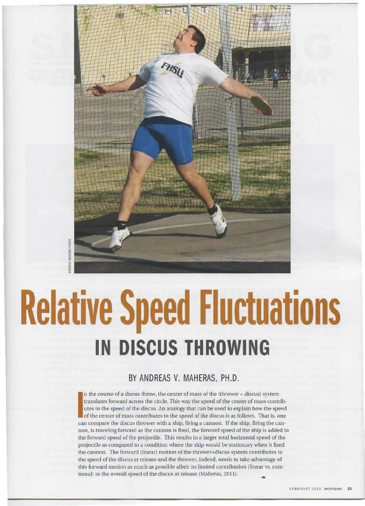

# **Relative Speed Fluctuations IN DISCUS THROWING**

## BY ANDREAS V. MAHERAS, PH.D.

In the course of a discus throw, the center of mass of the (thrower + discus) system<br>translates forward across the circle. This way the speed of the center of mass contr<br>utes to the speed of the discus An analogy that can translates forward across the circle. This way the speed of the center of mass contributes to the speed of the discus. An analogy that can be used to explain how the speed of the center of mass contributes to the speed of the discus is as follows. That is, one can compare the discus thrower with a ship, firing a cannon. If the ship, firing the cannon, is traveling forward as the cannon is fired, the forward speed of the ship is added to the fonvard speed of the projectile. This results in a larger total horizoncal speed of the projectile as compared 10 a condition where the ship would he stationary when ii fired the cannon. The fonvard (linear) motion of the rhrower+discus system contribures to the speed of the discus at release and the thrower, indeed, needs to take advantage of this forward motion as much *as* possible albeit its limited contribution {linear vs. rotational) ro the overall speed of the discus at release (Maheras, 2011).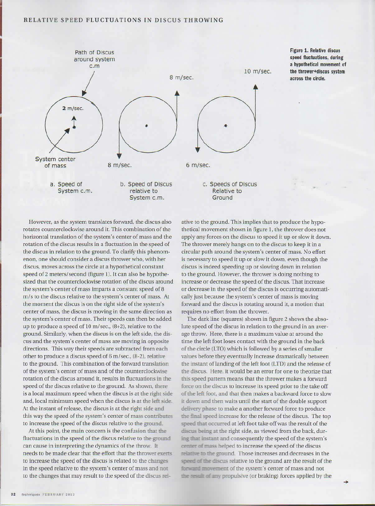#### RELATIVE SPEED FLUCTUATIONS IN DISCUS THROWING



**Figure 1. Relative discus speed** fluctuations, during **a hypothetical movement of the thrower+dlscus system across the circle.** 

However, as the system translates forward, the discus also rotates counterclockwise around it. This combination of the horizontal translation of the system's center of mass and the rotation of the discus results in a fluctuation in the speed of the discus in relation to the ground. To clarify this phenomenon, one should consider a discus thrower who, with her discus, moves across the circle at a hypothetical constant speed of 2 meters/second (figure 1). It can also be hypothesized that the counterclockwise rotation of the discus around the system's center of mass imparts a constant speed of 8 *m/s* to the discus relative to the system's center of mass. At the moment the discus is on the right side of the system's center of mass, the discus is moving in the same direction as the system's center of mass. Their speeds can then be added up to produce a speed of 10 m/sec., (8+2), relative to the ground. Similarly, when the discus is on the left side, the discus and the system's center of mass are moving in opposire directions. This way their speeds are subtracted from each other to produce a discus speed of 6 m/sec., (8-2), relative to the ground. This combination of the forward translation of the system's center of mass and of the counterclockwise rotation of the discus around it, results in fluctuations in the speed of the discus relative to the ground. As shown, there is a local maximum speed when the discus is at the right side and, local minimum speed when the discus is at the left side. At the instant of release, the discus is at the right side and this way the speed of the system's center of mass contributes to increase the speed of the discus relative to the ground.

At this point, the main concern is the confusion that the fluctuations in the speed of the discus relative to the ground can cause in interpreting the dynamics of the throw. It needs to be made clear that the effort that the thrower exerts to increase the speed of the discus is related to the **changee**  in the speed relative to the system's center of mass and not to the changes that may result to the speed of the discus **re!-**

ative to the ground. This implies that to produce the hypothetical movement shown in figure 1, the thrower does not apply any forces on the discus to speed it up or slow it down. The thrower merely hangs on to the discus to keep it in a circular path around the system's center of mass. No effort is necessary to speed it up or slow it down, even though the discus is indeed speeding up or slowing down in relation to the ground. However, the thrower is doing nothing to increase or decrease the speed of the discus. Thar increase or decrease in the speed of the discus is occurring automatically just because the system's center of mass is moving forward and the discus is rotating around it, a motion that requires no effort from the thrower.

The dark line (squares) shown in figure 2 shows the absolute speed of the discus in relation to the ground in an average throw. Here, there is a maximum value ar around the time the left foot loses contact with the ground in the back of the circle (LTO) which is followed by a series of smaller values before they eventually increase dramatically between the instant of landing of the left foot (LTD) and the release of the discus. Here, it would be an error for one to theorize that this speed pattern means that the thrower makes a forward force on the discus to increase its speed prior to the take off of the left foot, and that then makes a backward force to slow it **down** and then waits until the stare of the double support delivery phase to make a another forward force to produce the final speed increase for the release of the discus. The top speed that occurred at left foot take off was the result of the discus being at the right side, as viewed from the back, during that instant and consequently the speed of the system's center of mass helped to increase the speed of the discus relative to the ground. Those increases and decreases in the discus relative to the ground are the result of the *F- F-* also the ground. Those increases and decreases in the speed of the discus relative to the ground are the result of the system's center of mass and not the result of any propulsive (or braking) forces applied by the